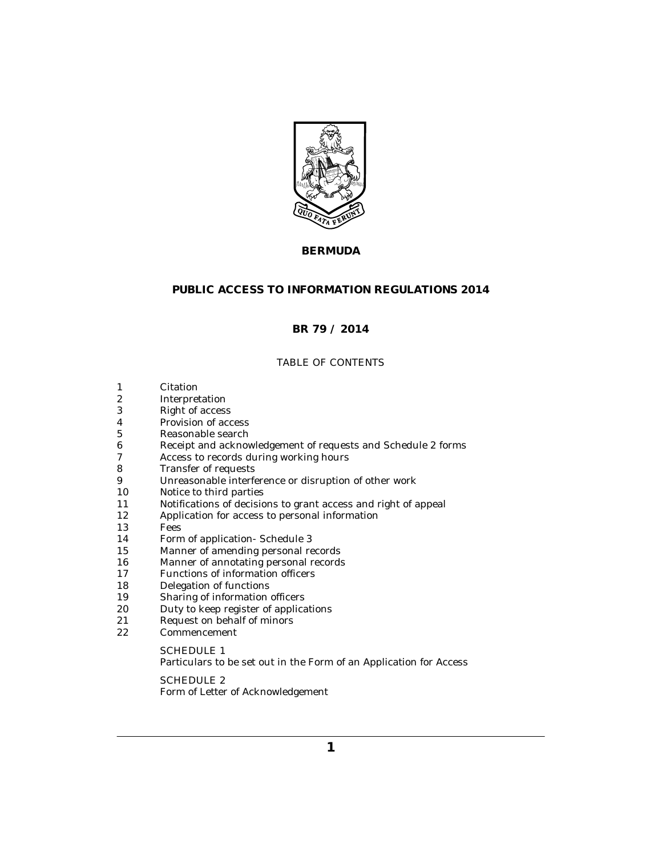

# **BERMUDA**

# **PUBLIC ACCESS TO INFORMATION REGULATIONS 2014**

# **BR 79 / 2014**

## TABLE OF CONTENTS

- [Citation](#page-1-0) 1
- [Interpretation](#page-1-0) 2
- [Right of access](#page-2-0) 3
- [Provision of access](#page-2-0) 4
- [Reasonable search](#page-2-0) 5
- [Receipt and acknowledgement of requests and Schedule 2 forms](#page-2-0) 6
- [Access to records during working hours](#page-3-0) 7
- [Transfer of requests](#page-3-0) 8
- [Unreasonable interference or disruption of other work](#page-3-0) 9
- [Notice to third parties](#page-4-0) 10
- [Notifications of decisions to grant access and right of appeal](#page-5-0) 11
- [Application for access to personal information](#page-5-0) 12
- [Fees](#page-6-0) 13
- [Form of application- Schedule 3](#page-6-0) 14
- [Manner of amending personal records](#page-6-0) 15
- [Manner of annotating personal records](#page-7-0) 16
- [Functions of information officers](#page-7-0) 17
- [Delegation of functions](#page-8-0) 18
- [Sharing of information officers](#page-8-0) 19
- [Duty to keep register of applications](#page-8-0) 20
- [Request on behalf of minors](#page-8-0) 21
- [Commencement](#page-9-0) 22

## SCHEDULE 1

[Particulars to be set out in the Form of an Application for Access](#page-10-0)

SCHEDULE 2 [Form of Letter of Acknowledgement](#page-11-0)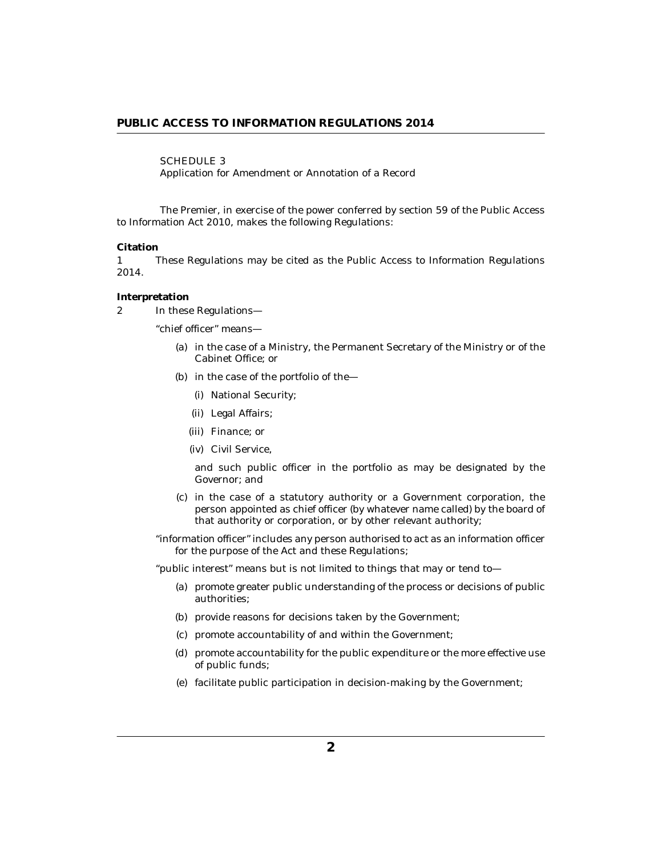<span id="page-1-0"></span>SCHEDULE 3

[Application for Amendment or Annotation of a Record](#page-12-0)

The Premier, in exercise of the power conferred by section 59 of the Public Access to Information Act 2010, makes the following Regulations:

#### **Citation**

These Regulations may be cited as the Public Access to Information Regulations 2014. 1

#### **Interpretation**

In these Regulations— 2

"chief officer" means—

- (a) in the case of a Ministry, the Permanent Secretary of the Ministry or of the Cabinet Office; or
- (b) in the case of the portfolio of the $-$ 
	- (i) National Security;
	- Legal Affairs; (ii)
	- (iii) Finance; or
	- (iv) Civil Service,

and such public officer in the portfolio as may be designated by the Governor; and

- (c) in the case of a statutory authority or a Government corporation, the person appointed as chief officer (by whatever name called) by the board of that authority or corporation, or by other relevant authority;
- "information officer" includes any person authorised to act as an information officer for the purpose of the Act and these Regulations;

"public interest" means but is not limited to things that may or tend to—

- (a) promote greater public understanding of the process or decisions of public authorities;
- (b) provide reasons for decisions taken by the Government;
- (c) promote accountability of and within the Government;
- (d) promote accountability for the public expenditure or the more effective use of public funds;
- (e) facilitate public participation in decision-making by the Government;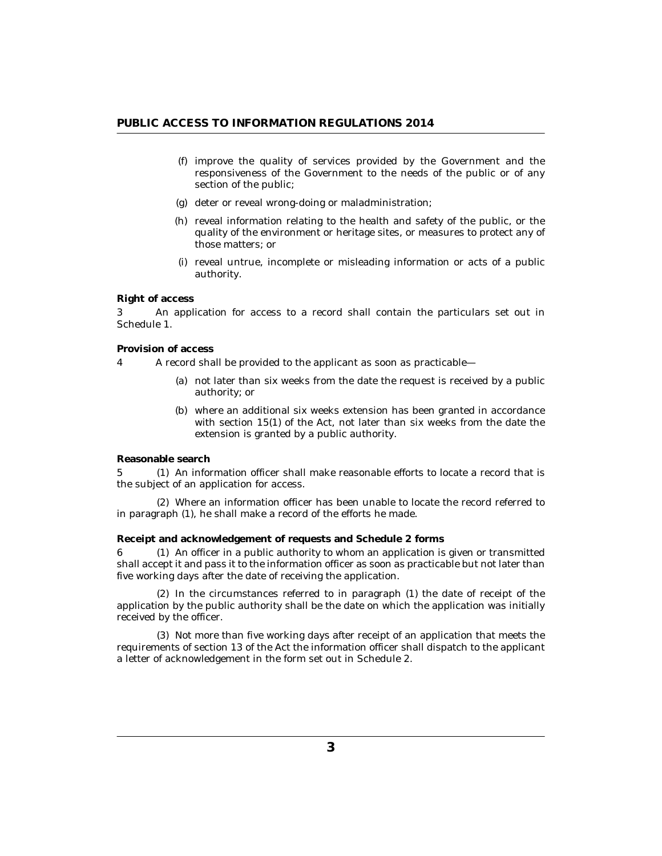- <span id="page-2-0"></span>(f) improve the quality of services provided by the Government and the responsiveness of the Government to the needs of the public or of any section of the public;
- (g) deter or reveal wrong-doing or maladministration;
- (h) reveal information relating to the health and safety of the public, or the quality of the environment or heritage sites, or measures to protect any of those matters; or
- (i) reveal untrue, incomplete or misleading information or acts of a public authority.

#### **Right of access**

An application for access to a record shall contain the particulars set out in Schedule 1. 3

**Provision of access**

A record shall be provided to the applicant as soon as practicable— 4

- not later than six weeks from the date the request is received by a public (a) authority; or
- where an additional six weeks extension has been granted in accordance (b) with section 15(1) of the Act, not later than six weeks from the date the extension is granted by a public authority.

**Reasonable search**

5 (1) An information officer shall make reasonable efforts to locate a record that is the subject of an application for access.

Where an information officer has been unable to locate the record referred to (2) in paragraph (1), he shall make a record of the efforts he made.

**Receipt and acknowledgement of requests and Schedule 2 forms**

6 (1) An officer in a public authority to whom an application is given or transmitted shall accept it and pass it to the information officer as soon as practicable but not later than five working days after the date of receiving the application.

 $(2)$  In the circumstances referred to in paragraph  $(1)$  the date of receipt of the application by the public authority shall be the date on which the application was initially received by the officer.

(3) Not more than five working days after receipt of an application that meets the requirements of section 13 of the Act the information officer shall dispatch to the applicant a letter of acknowledgement in the form set out in Schedule 2.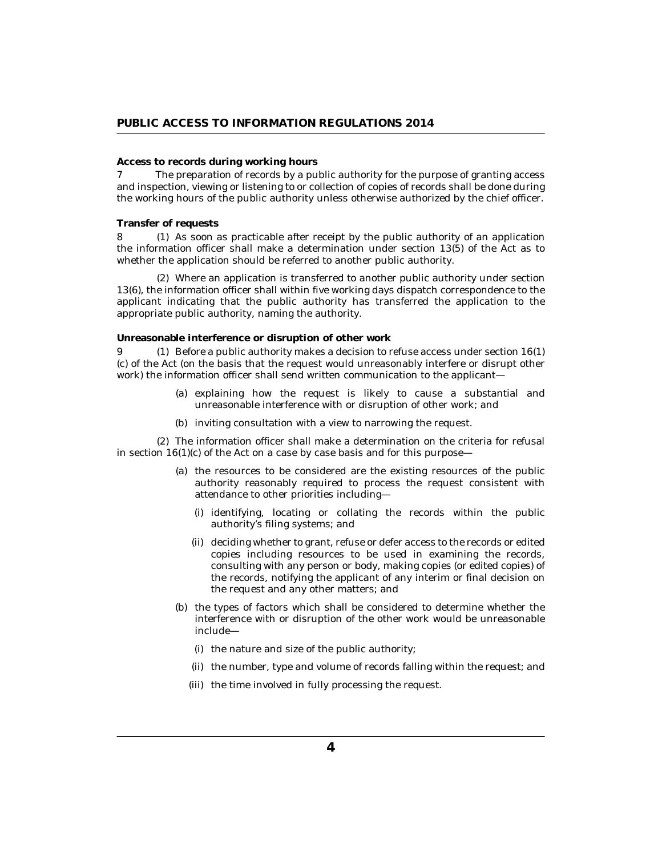### <span id="page-3-0"></span>**Access to records during working hours**

The preparation of records by a public authority for the purpose of granting access and inspection, viewing or listening to or collection of copies of records shall be done during the working hours of the public authority unless otherwise authorized by the chief officer. 7

#### **Transfer of requests**

As soon as practicable after receipt by the public authority of an application 8 (1) the information officer shall make a determination under section 13(5) of the Act as to whether the application should be referred to another public authority.

Where an application is transferred to another public authority under section (2) 13(6), the information officer shall within five working days dispatch correspondence to the applicant indicating that the public authority has transferred the application to the appropriate public authority, naming the authority.

**Unreasonable interference or disruption of other work**

9 (1) Before a public authority makes a decision to refuse access under section  $16(1)$ (c) of the Act (on the basis that the request would unreasonably interfere or disrupt other work) the information officer shall send written communication to the applicant-

- (a) explaining how the request is likely to cause a substantial and unreasonable interference with or disruption of other work; and
- (b) inviting consultation with a view to narrowing the request.

The information officer shall make a determination on the criteria for refusal (2) in section  $16(1)(c)$  of the Act on a case by case basis and for this purpose—

- (a) the resources to be considered are the existing resources of the public authority reasonably required to process the request consistent with attendance to other priorities including—
	- (i) identifying, locating or collating the records within the public authority's filing systems; and
	- deciding whether to grant, refuse or defer access to the records or edited (ii) copies including resources to be used in examining the records, consulting with any person or body, making copies (or edited copies) of the records, notifying the applicant of any interim or final decision on the request and any other matters; and
- (b) the types of factors which shall be considered to determine whether the interference with or disruption of the other work would be unreasonable include—
	- (i) the nature and size of the public authority;
	- (ii) the number, type and volume of records falling within the request; and
	- (iii) the time involved in fully processing the request.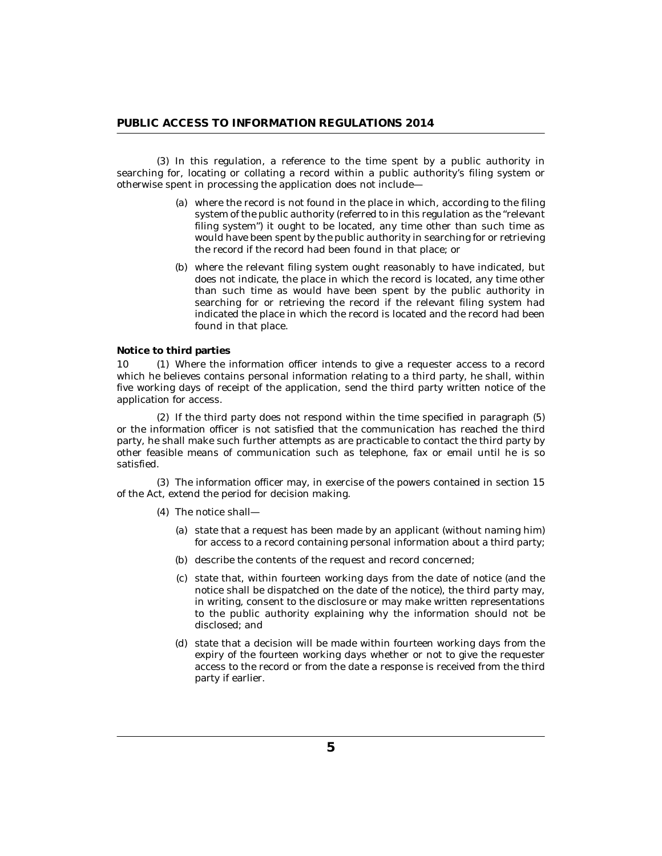<span id="page-4-0"></span>(3) In this regulation, a reference to the time spent by a public authority in searching for, locating or collating a record within a public authority's filing system or otherwise spent in processing the application does not include—

- where the record is not found in the place in which, according to the filing (a) system of the public authority (referred to in this regulation as the "relevant filing system") it ought to be located, any time other than such time as would have been spent by the public authority in searching for or retrieving the record if the record had been found in that place; or
- (b) where the relevant filing system ought reasonably to have indicated, but does not indicate, the place in which the record is located, any time other than such time as would have been spent by the public authority in searching for or retrieving the record if the relevant filing system had indicated the place in which the record is located and the record had been found in that place.

**Notice to third parties**

Where the information officer intends to give a requester access to a record which he believes contains personal information relating to a third party, he shall, within five working days of receipt of the application, send the third party written notice of the application for access. 10 (1)

 $(2)$  If the third party does not respond within the time specified in paragraph  $(5)$ or the information officer is not satisfied that the communication has reached the third party, he shall make such further attempts as are practicable to contact the third party by other feasible means of communication such as telephone, fax or email until he is so satisfied.

The information officer may, in exercise of the powers contained in section 15 (3) of the Act, extend the period for decision making.

The notice shall— (4)

- (a) state that a request has been made by an applicant (without naming him) for access to a record containing personal information about a third party;
- (b) describe the contents of the request and record concerned;
- (c) state that, within fourteen working days from the date of notice (and the notice shall be dispatched on the date of the notice), the third party may, in writing, consent to the disclosure or may make written representations to the public authority explaining why the information should not be disclosed; and
- (d) state that a decision will be made within fourteen working days from the expiry of the fourteen working days whether or not to give the requester access to the record or from the date a response is received from the third party if earlier.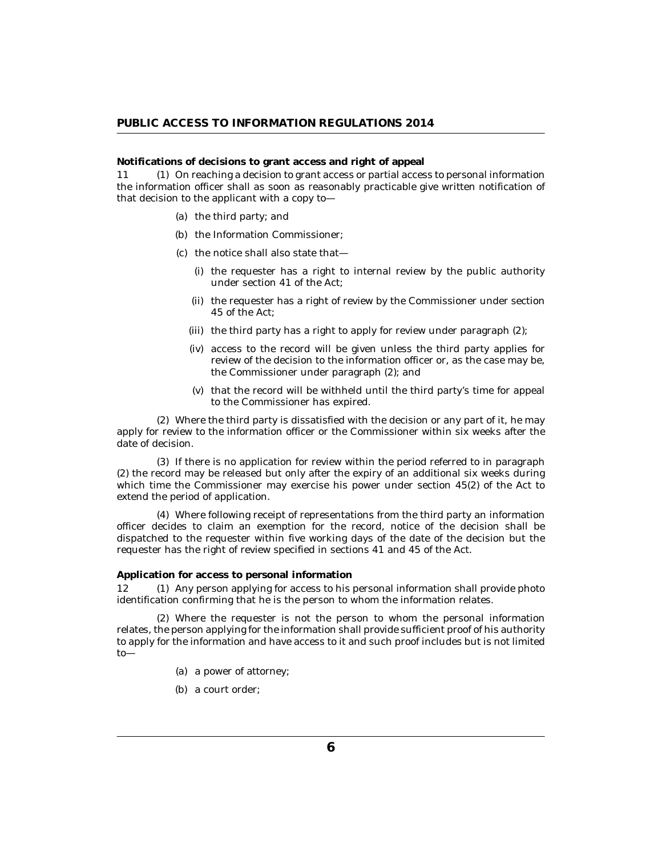<span id="page-5-0"></span>**Notifications of decisions to grant access and right of appeal**

11 (1) On reaching a decision to grant access or partial access to personal information the information officer shall as soon as reasonably practicable give written notification of that decision to the applicant with a copy to—

- (a) the third party; and
- (b) the Information Commissioner;
- (c) the notice shall also state that-
	- (i) the requester has a right to internal review by the public authority under section 41 of the Act;
	- (ii) the requester has a right of review by the Commissioner under section 45 of the Act;
	- (iii) the third party has a right to apply for review under paragraph (2);
	- (iv) access to the record will be given unless the third party applies for review of the decision to the information officer or, as the case may be, the Commissioner under paragraph (2); and
	- (v) that the record will be withheld until the third party's time for appeal to the Commissioner has expired.

Where the third party is dissatisfied with the decision or any part of it, he may (2) apply for review to the information officer or the Commissioner within six weeks after the date of decision.

(3) If there is no application for review within the period referred to in paragraph (2) the record may be released but only after the expiry of an additional six weeks during which time the Commissioner may exercise his power under section 45(2) of the Act to extend the period of application.

Where following receipt of representations from the third party an information (4) officer decides to claim an exemption for the record, notice of the decision shall be dispatched to the requester within five working days of the date of the decision but the requester has the right of review specified in sections 41 and 45 of the Act.

**Application for access to personal information**

12 (1) Any person applying for access to his personal information shall provide photo identification confirming that he is the person to whom the information relates.

Where the requester is not the person to whom the personal information (2) relates, the person applying for the information shall provide sufficient proof of his authority to apply for the information and have access to it and such proof includes but is not limited to—

- (a) a power of attorney;
- (b) a court order;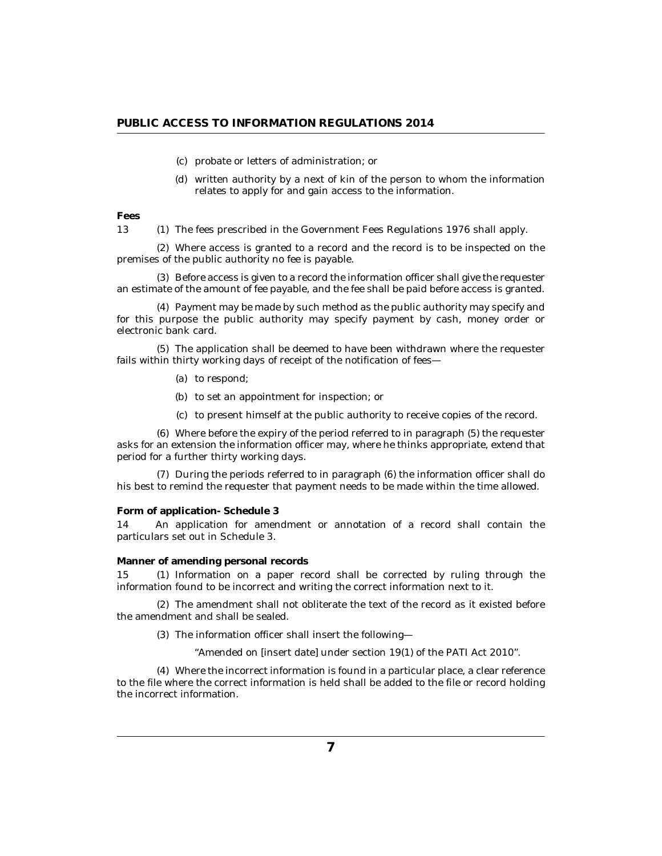- <span id="page-6-0"></span>probate or letters of administration; or (c)
- (d) written authority by a next of kin of the person to whom the information relates to apply for and gain access to the information.

**Fees**

13 (1) The fees prescribed in the Government Fees Regulations 1976 shall apply.

Where access is granted to a record and the record is to be inspected on the (2) premises of the public authority no fee is payable.

(3) Before access is given to a record the information officer shall give the requester an estimate of the amount of fee payable, and the fee shall be paid before access is granted.

Payment may be made by such method as the public authority may specify and (4) for this purpose the public authority may specify payment by cash, money order or electronic bank card.

The application shall be deemed to have been withdrawn where the requester (5) fails within thirty working days of receipt of the notification of fees—

- (a) to respond;
- (b) to set an appointment for inspection; or
- (c) to present himself at the public authority to receive copies of the record.

Where before the expiry of the period referred to in paragraph (5) the requester (6) asks for an extension the information officer may, where he thinks appropriate, extend that period for a further thirty working days.

(7) During the periods referred to in paragraph (6) the information officer shall do his best to remind the requester that payment needs to be made within the time allowed.

### **Form of application- Schedule 3**

An application for amendment or annotation of a record shall contain the particulars set out in Schedule 3. 14

#### **Manner of amending personal records**

15 (1) Information on a paper record shall be corrected by ruling through the information found to be incorrect and writing the correct information next to it.

(2) The amendment shall not obliterate the text of the record as it existed before the amendment and shall be sealed.

(3) The information officer shall insert the following-

"Amended on [insert date] under section 19(1) of the PATI Act 2010".

Where the incorrect information is found in a particular place, a clear reference (4) to the file where the correct information is held shall be added to the file or record holding the incorrect information.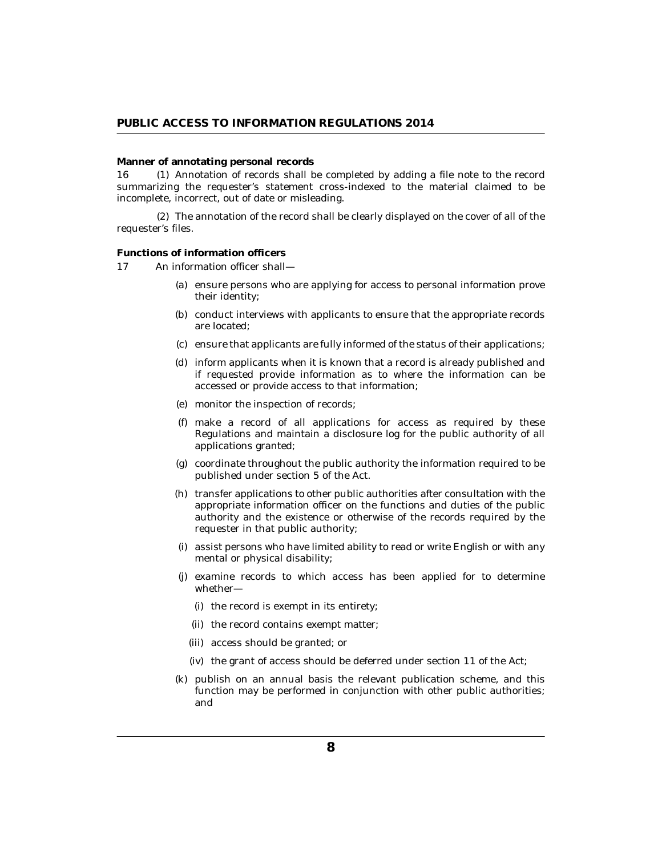#### <span id="page-7-0"></span>**Manner of annotating personal records**

16 (1) Annotation of records shall be completed by adding a file note to the record summarizing the requester's statement cross-indexed to the material claimed to be incomplete, incorrect, out of date or misleading.

The annotation of the record shall be clearly displayed on the cover of all of the (2) requester's files.

#### **Functions of information officers**

An information officer shall— 17

- (a) ensure persons who are applying for access to personal information prove their identity;
- (b) conduct interviews with applicants to ensure that the appropriate records are located;
- (c) ensure that applicants are fully informed of the status of their applications;
- (d) inform applicants when it is known that a record is already published and if requested provide information as to where the information can be accessed or provide access to that information;
- monitor the inspection of records; (e)
- make a record of all applications for access as required by these (f) Regulations and maintain a disclosure log for the public authority of all applications granted;
- coordinate throughout the public authority the information required to be (g) published under section 5 of the Act.
- (h) transfer applications to other public authorities after consultation with the appropriate information officer on the functions and duties of the public authority and the existence or otherwise of the records required by the requester in that public authority;
- assist persons who have limited ability to read or write English or with any (i) mental or physical disability;
- (j) examine records to which access has been applied for to determine whether—
	- (i) the record is exempt in its entirety;
	- (ii) the record contains exempt matter;
	- (iii) access should be granted; or
	- (iv) the grant of access should be deferred under section 11 of the Act;
- (k) publish on an annual basis the relevant publication scheme, and this function may be performed in conjunction with other public authorities; and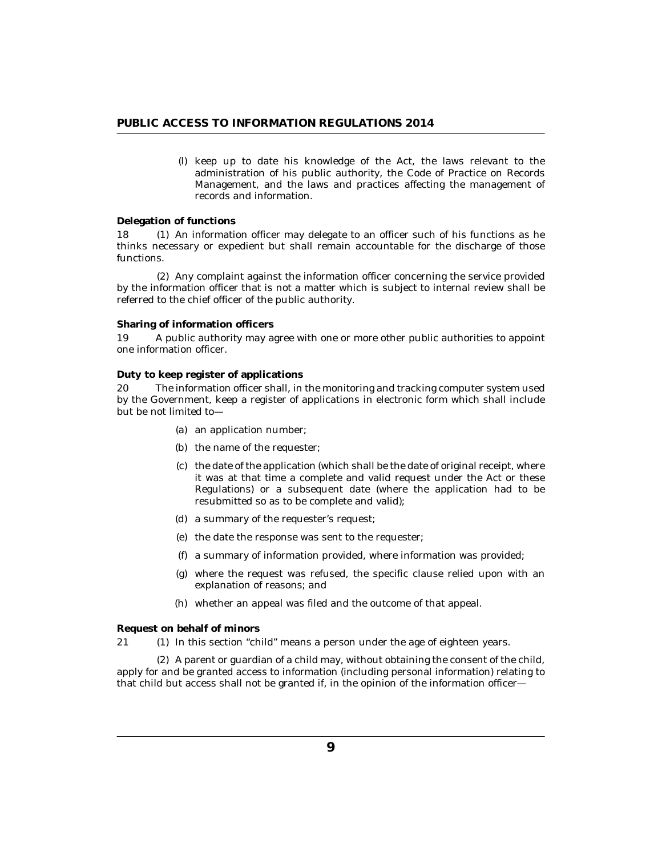<span id="page-8-0"></span>keep up to date his knowledge of the Act, the laws relevant to the (l) administration of his public authority, the Code of Practice on Records Management, and the laws and practices affecting the management of records and information.

### **Delegation of functions**

18 (1) An information officer may delegate to an officer such of his functions as he thinks necessary or expedient but shall remain accountable for the discharge of those functions.

(2) Any complaint against the information officer concerning the service provided by the information officer that is not a matter which is subject to internal review shall be referred to the chief officer of the public authority.

#### **Sharing of information officers**

A public authority may agree with one or more other public authorities to appoint one information officer. 19

### **Duty to keep register of applications**

The information officer shall, in the monitoring and tracking computer system used by the Government, keep a register of applications in electronic form which shall include but be not limited to— 20

- (a) an application number;
- (b) the name of the requester;
- (c) the date of the application (which shall be the date of original receipt, where it was at that time a complete and valid request under the Act or these Regulations) or a subsequent date (where the application had to be resubmitted so as to be complete and valid);
- (d) a summary of the requester's request;
- (e) the date the response was sent to the requester;
- a summary of information provided, where information was provided; (f)
- where the request was refused, the specific clause relied upon with an (g) explanation of reasons; and
- whether an appeal was filed and the outcome of that appeal. (h)

**Request on behalf of minors**

21 (1) In this section "child" means a person under the age of eighteen years.

A parent or guardian of a child may, without obtaining the consent of the child, (2) apply for and be granted access to information (including personal information) relating to that child but access shall not be granted if, in the opinion of the information officer—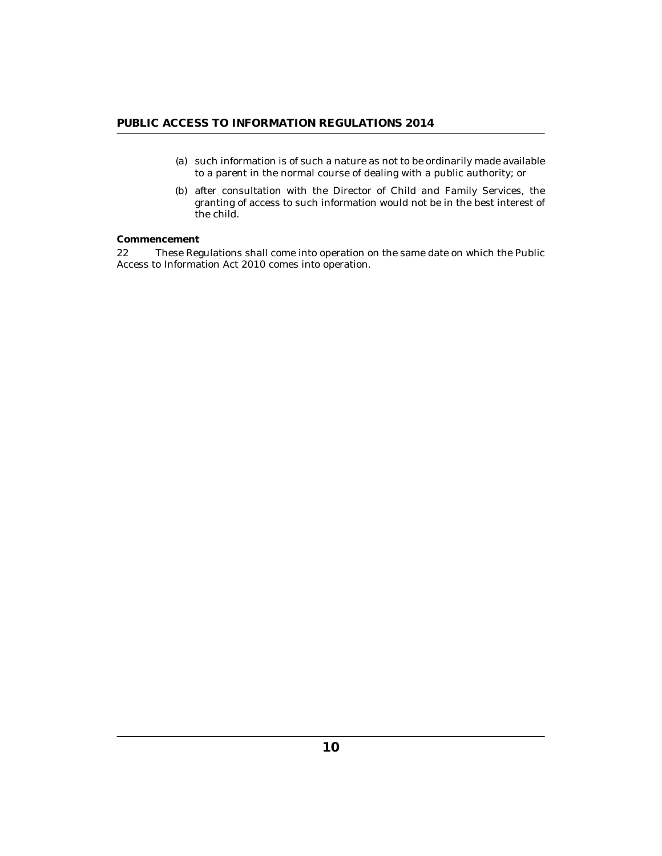- <span id="page-9-0"></span>(a) such information is of such a nature as not to be ordinarily made available to a parent in the normal course of dealing with a public authority; or
- (b) after consultation with the Director of Child and Family Services, the granting of access to such information would not be in the best interest of the child.

# **Commencement**

These Regulations shall come into operation on the same date on which the Public Access to Information Act 2010 comes into operation. 22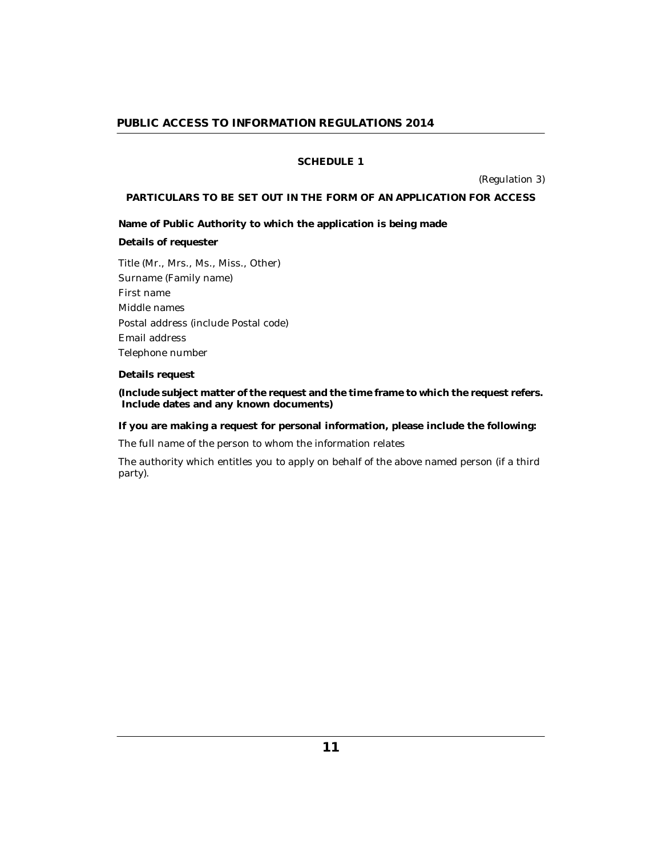## **SCHEDULE 1**

(Regulation 3)

### <span id="page-10-0"></span>**PARTICULARS TO BE SET OUT IN THE FORM OF AN APPLICATION FOR ACCESS**

**Name of Public Authority to which the application is being made**

**Details of requester**

Title (Mr., Mrs., Ms., Miss., Other) Surname (Family name) First name Middle names Postal address (include Postal code) Email address Telephone number

**Details request**

**(Include subject matter of the request and the time frame to which the request refers. Include dates and any known documents)**

**If you are making a request for personal information, please include the following:**

The full name of the person to whom the information relates

The authority which entitles you to apply on behalf of the above named person (if a third party).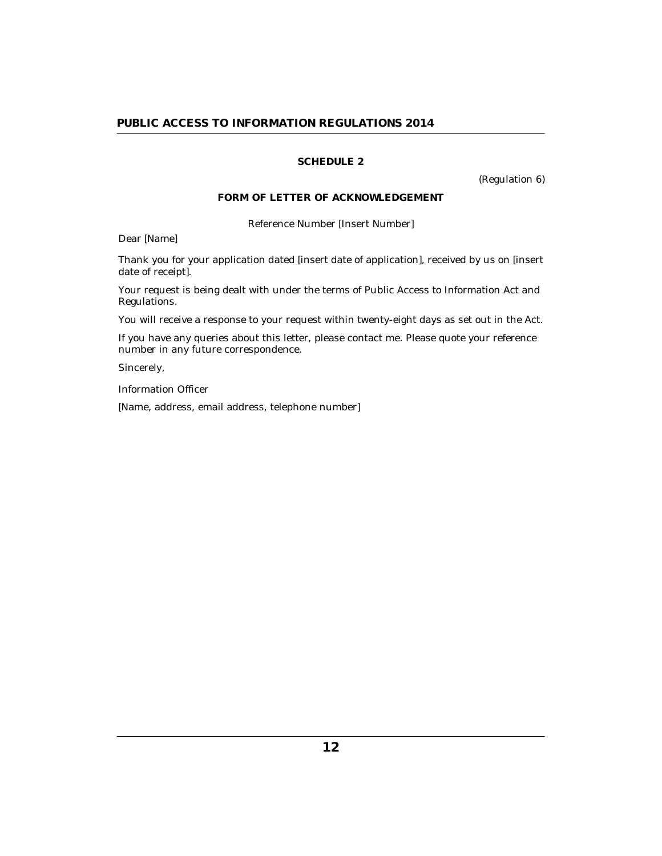# **SCHEDULE 2**

(Regulation 6)

# **FORM OF LETTER OF ACKNOWLEDGEMENT**

Reference Number [Insert Number]

<span id="page-11-0"></span>Dear [Name]

Thank you for your application dated [insert date of application], received by us on [insert date of receipt].

Your request is being dealt with under the terms of Public Access to Information Act and Regulations.

You will receive a response to your request within twenty-eight days as set out in the Act.

If you have any queries about this letter, please contact me. Please quote your reference number in any future correspondence.

Sincerely,

Information Officer

[Name, address, email address, telephone number]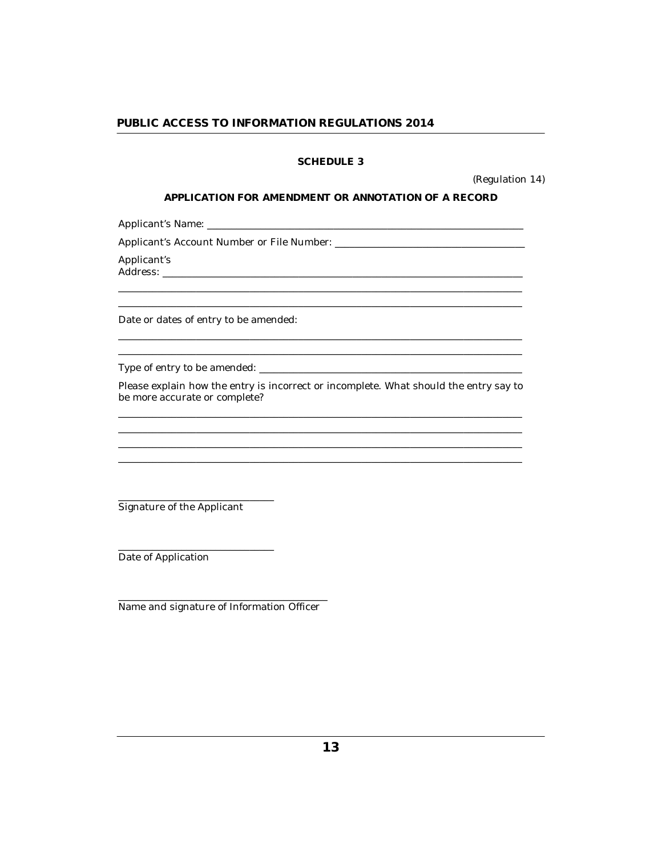# **SCHEDULE 3**

(Regulation 14)

## APPLICATION FOR AMENDMENT OR ANNOTATION OF A RECORD

<span id="page-12-0"></span>Applicant's Name:

Applicant's

Date or dates of entry to be amended:

Please explain how the entry is incorrect or incomplete. What should the entry say to be more accurate or complete?

Signature of the Applicant

Date of Application

Name and signature of Information Officer